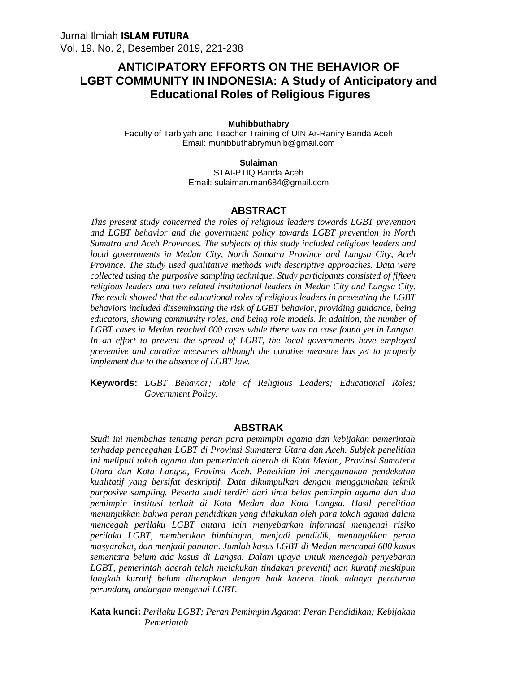# **ANTICIPATORY EFFORTS ON THE BEHAVIOR OF LGBT COMMUNITY IN INDONESIA: A Study of Anticipatory and Educational Roles of Religious Figures**

#### **Muhibbuthabry**

Faculty of Tarbiyah and Teacher Training of UIN Ar-Raniry Banda Aceh Email: muhibbuthabrymuhib@gmail.com

> **Sulaiman** STAI-PTIQ Banda Aceh

Email: sulaiman.man684@gmail.com

#### **ABSTRACT**

*This present study concerned the roles of religious leaders towards LGBT prevention and LGBT behavior and the government policy towards LGBT prevention in North Sumatra and Aceh Provinces. The subjects of this study included religious leaders and local governments in Medan City, North Sumatra Province and Langsa City, Aceh Province. The study used qualitative methods with descriptive approaches. Data were collected using the purposive sampling technique. Study participants consisted of fifteen religious leaders and two related institutional leaders in Medan City and Langsa City. The result showed that the educational roles of religious leaders in preventing the LGBT behaviors included disseminating the risk of LGBT behavior, providing guidance, being educators, showing community roles, and being role models. In addition, the number of LGBT cases in Medan reached 600 cases while there was no case found yet in Langsa. In an effort to prevent the spread of LGBT, the local governments have employed preventive and curative measures although the curative measure has yet to properly implement due to the absence of LGBT law.*

**Keywords:** *LGBT Behavior; Role of Religious Leaders; Educational Roles; Government Policy.*

#### **ABSTRAK**

*Studi ini membahas tentang peran para pemimpin agama dan kebijakan pemerintah terhadap pencegahan LGBT di Provinsi Sumatera Utara dan Aceh. Subjek penelitian ini meliputi tokoh agama dan pemerintah daerah di Kota Medan, Provinsi Sumatera Utara dan Kota Langsa, Provinsi Aceh. Penelitian ini menggunakan pendekatan kualitatif yang bersifat deskriptif. Data dikumpulkan dengan menggunakan teknik purposive sampling. Peserta studi terdiri dari lima belas pemimpin agama dan dua pemimpin institusi terkait di Kota Medan dan Kota Langsa. Hasil penelitian menunjukkan bahwa peran pendidikan yang dilakukan oleh para tokoh agama dalam mencegah perilaku LGBT antara lain menyebarkan informasi mengenai risiko perilaku LGBT, memberikan bimbingan, menjadi pendidik, menunjukkan peran masyarakat, dan menjadi panutan. Jumlah kasus LGBT di Medan mencapai 600 kasus sementara belum ada kasus di Langsa. Dalam upaya untuk mencegah penyebaran LGBT, pemerintah daerah telah melakukan tindakan preventif dan kuratif meskipun langkah kuratif belum diterapkan dengan baik karena tidak adanya peraturan perundang-undangan mengenai LGBT.*

**Kata kunci:** *Perilaku LGBT; Peran Pemimpin Agama; Peran Pendidikan; Kebijakan Pemerintah.*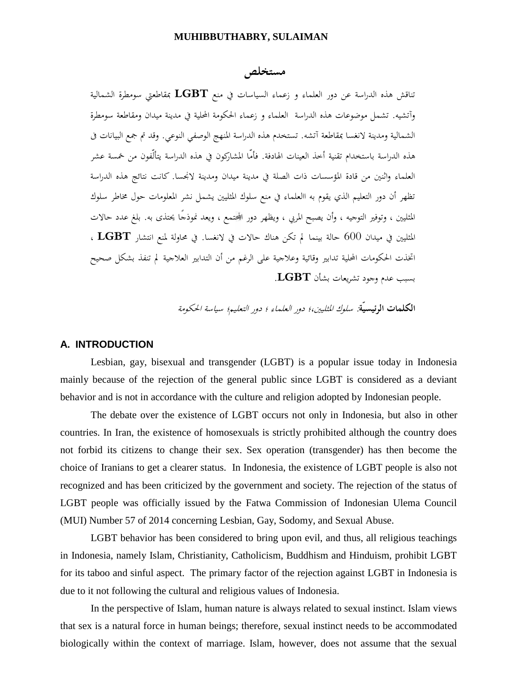# **مستخلص**

تناقش هذه الدراسة عن دور العلماء و زعماء السياسات في منع **LGBT** بمقاطعتي سومطرة الشمالية وآتشيه. تشمل موضوعات هذه الدراسة العلماء و زعماء الحكومة المحلية في مدينة ميدان ومقاطعة سومطرة الشمالية ومدينة لانغسا بمقاطعة آتشه. تستخدم هذه الدراسة المنهج الوصفي النوعي. وقد تم جمع البيانات فى هذه الدراسة باستخدام تقنية أخذ العينات الهادفة. فأمّا المشاركون في هذه الدراسة يتألّفون من خمسة عشر العلماء واثنين من قادة المؤسسات ذات الصلة في مدينة ميدان ومدينة لانجسا. كانت نتائج هذه الدراسة تظهر أن دور التعليم الذي يقوم به االعلماء في منع سلوك المثليين يشمل نشر المعلومات حول مخاطر سلوك المثليين ، وتوفير التوجيه ، وأن يصبح المربي ، ويظهر دور ا تمع ، ويعد نموذجًا يحتذى به. بلغ عدد حالات المثليين في ميدان 600 حالة بينما لم تكن هناك حالات في لانغسا. في محاولة لمنع انتشار **LGBT** ، اتخذت الحكومات المحلية تدابير وقائية وعلاجية على الرغم من أن التدابير العلاجية لم تنفذ بشكل صحيح<br>بسبب عدم وجود تشريعات بشأن **LGBT**.

**الكلمات الرئيسيّة***: سلوك المثليين،؛ دور العلماء ؛ دور التعليم؛ سياسة الحكومة*

#### **A. INTRODUCTION**

Lesbian, gay, bisexual and transgender (LGBT) is a popular issue today in Indonesia mainly because of the rejection of the general public since LGBT is considered as a deviant behavior and is not in accordance with the culture and religion adopted by Indonesian people.

The debate over the existence of LGBT occurs not only in Indonesia, but also in other countries. In Iran, the existence of homosexuals is strictly prohibited although the country does not forbid its citizens to change their sex. Sex operation (transgender) has then become the choice of Iranians to get a clearer status. In Indonesia, the existence of LGBT people is also not recognized and has been criticized by the government and society. The rejection of the status of LGBT people was officially issued by the Fatwa Commission of Indonesian Ulema Council (MUI) Number 57 of 2014 concerning Lesbian, Gay, Sodomy, and Sexual Abuse.

LGBT behavior has been considered to bring upon evil, and thus, all religious teachings in Indonesia, namely Islam, Christianity, Catholicism, Buddhism and Hinduism, prohibit LGBT for its taboo and sinful aspect. The primary factor of the rejection against LGBT in Indonesia is due to it not following the cultural and religious values of Indonesia.

In the perspective of Islam, human nature is always related to sexual instinct. Islam views that sex is a natural force in human beings; therefore, sexual instinct needs to be accommodated biologically within the context of marriage. Islam, however, does not assume that the sexual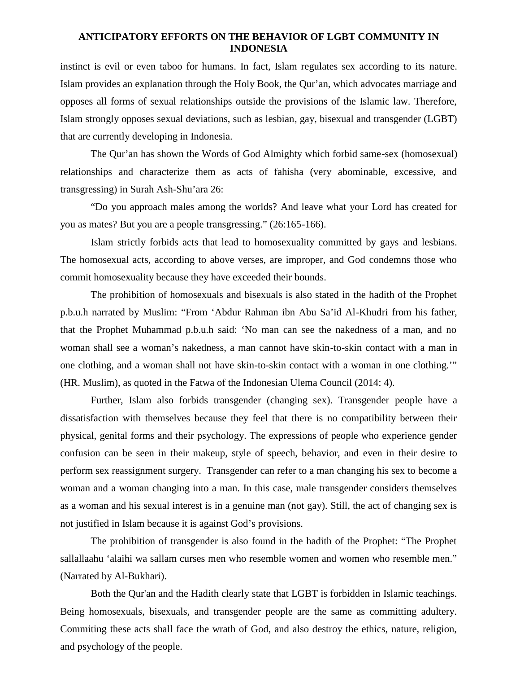instinct is evil or even taboo for humans. In fact, Islam regulates sex according to its nature. Islam provides an explanation through the Holy Book, the Qur'an, which advocates marriage and opposes all forms of sexual relationships outside the provisions of the Islamic law. Therefore, Islam strongly opposes sexual deviations, such as lesbian, gay, bisexual and transgender (LGBT) that are currently developing in Indonesia.

The Qur'an has shown the Words of God Almighty which forbid same-sex (homosexual) relationships and characterize them as acts of fahisha (very abominable, excessive, and transgressing) in Surah Ash-Shu'ara 26:

"Do you approach males among the worlds? And leave what your Lord has created for you as mates? But you are a people transgressing." (26:165-166).

Islam strictly forbids acts that lead to homosexuality committed by gays and lesbians. The homosexual acts, according to above verses, are improper, and God condemns those who commit homosexuality because they have exceeded their bounds.

The prohibition of homosexuals and bisexuals is also stated in the hadith of the Prophet p.b.u.h narrated by Muslim: "From 'Abdur Rahman ibn Abu Sa'id Al-Khudri from his father, that the Prophet Muhammad p.b.u.h said: 'No man can see the nakedness of a man, and no woman shall see a woman's nakedness, a man cannot have skin-to-skin contact with a man in one clothing, and a woman shall not have skin-to-skin contact with a woman in one clothing.'" (HR. Muslim), as quoted in the Fatwa of the Indonesian Ulema Council (2014: 4).

Further, Islam also forbids transgender (changing sex). Transgender people have a dissatisfaction with themselves because they feel that there is no compatibility between their physical, genital forms and their psychology. The expressions of people who experience gender confusion can be seen in their makeup, style of speech, behavior, and even in their desire to perform sex reassignment surgery. Transgender can refer to a man changing his sex to become a woman and a woman changing into a man. In this case, male transgender considers themselves as a woman and his sexual interest is in a genuine man (not gay). Still, the act of changing sex is not justified in Islam because it is against God's provisions.

The prohibition of transgender is also found in the hadith of the Prophet: "The Prophet sallallaahu 'alaihi wa sallam curses men who resemble women and women who resemble men." (Narrated by Al-Bukhari).

Both the Qur'an and the Hadith clearly state that LGBT is forbidden in Islamic teachings. Being homosexuals, bisexuals, and transgender people are the same as committing adultery. Commiting these acts shall face the wrath of God, and also destroy the ethics, nature, religion, and psychology of the people.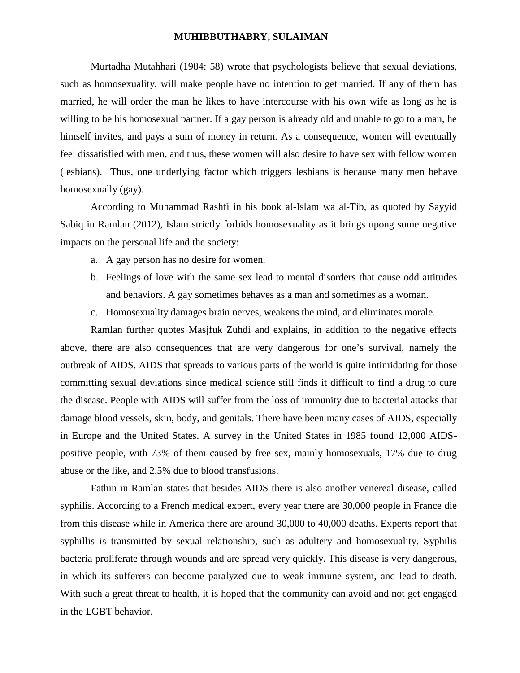Murtadha Mutahhari (1984: 58) wrote that psychologists believe that sexual deviations, such as homosexuality, will make people have no intention to get married. If any of them has married, he will order the man he likes to have intercourse with his own wife as long as he is willing to be his homosexual partner. If a gay person is already old and unable to go to a man, he himself invites, and pays a sum of money in return. As a consequence, women will eventually feel dissatisfied with men, and thus, these women will also desire to have sex with fellow women (lesbians). Thus, one underlying factor which triggers lesbians is because many men behave homosexually (gay).

According to Muhammad Rashfi in his book al-Islam wa al-Tib, as quoted by Sayyid Sabiq in Ramlan (2012), Islam strictly forbids homosexuality as it brings upong some negative impacts on the personal life and the society:

- a. A gay person has no desire for women.
- b. Feelings of love with the same sex lead to mental disorders that cause odd attitudes and behaviors. A gay sometimes behaves as a man and sometimes as a woman.
- c. Homosexuality damages brain nerves, weakens the mind, and eliminates morale.

Ramlan further quotes Masjfuk Zuhdi and explains, in addition to the negative effects above, there are also consequences that are very dangerous for one's survival, namely the outbreak of AIDS. AIDS that spreads to various parts of the world is quite intimidating for those committing sexual deviations since medical science still finds it difficult to find a drug to cure the disease. People with AIDS will suffer from the loss of immunity due to bacterial attacks that damage blood vessels, skin, body, and genitals. There have been many cases of AIDS, especially in Europe and the United States. A survey in the United States in 1985 found 12,000 AIDS positive people, with 73% of them caused by free sex, mainly homosexuals, 17% due to drug abuse or the like, and 2.5% due to blood transfusions.

Fathin in Ramlan states that besides AIDS there is also another venereal disease, called syphilis. According to a French medical expert, every year there are 30,000 people in France die from this disease while in America there are around 30,000 to 40,000 deaths. Experts report that syphillis is transmitted by sexual relationship, such as adultery and homosexuality. Syphilis bacteria proliferate through wounds and are spread very quickly. This disease is very dangerous, in which its sufferers can become paralyzed due to weak immune system, and lead to death. With such a great threat to health, it is hoped that the community can avoid and not get engaged in the LGBT behavior.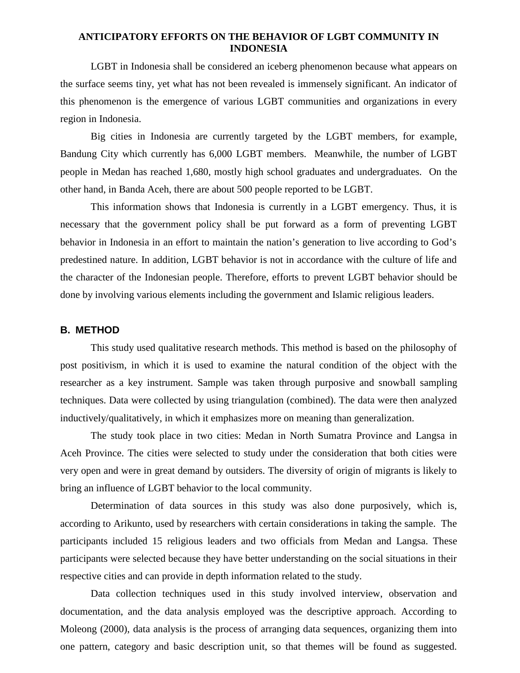LGBT in Indonesia shall be considered an iceberg phenomenon because what appears on the surface seems tiny, yet what has not been revealed is immensely significant. An indicator of this phenomenon is the emergence of various LGBT communities and organizations in every region in Indonesia.

Big cities in Indonesia are currently targeted by the LGBT members, for example, Bandung City which currently has 6,000 LGBT members. Meanwhile, the number of LGBT people in Medan has reached 1,680, mostly high school graduates and undergraduates. On the other hand, in Banda Aceh, there are about 500 people reported to be LGBT.

This information shows that Indonesia is currently in a LGBT emergency. Thus, it is necessary that the government policy shall be put forward as a form of preventing LGBT behavior in Indonesia in an effort to maintain the nation's generation to live according to God's predestined nature. In addition, LGBT behavior is not in accordance with the culture of life and the character of the Indonesian people. Therefore, efforts to prevent LGBT behavior should be done by involving various elements including the government and Islamic religious leaders.

## **B. METHOD**

This study used qualitative research methods. This method is based on the philosophy of post positivism, in which it is used to examine the natural condition of the object with the researcher as a key instrument. Sample was taken through purposive and snowball sampling techniques. Data were collected by using triangulation (combined). The data were then analyzed inductively/qualitatively, in which it emphasizes more on meaning than generalization.

The study took place in two cities: Medan in North Sumatra Province and Langsa in Aceh Province. The cities were selected to study under the consideration that both cities were very open and were in great demand by outsiders. The diversity of origin of migrants is likely to bring an influence of LGBT behavior to the local community.

Determination of data sources in this study was also done purposively, which is, according to Arikunto, used by researchers with certain considerations in taking the sample. The participants included 15 religious leaders and two officials from Medan and Langsa. These participants were selected because they have better understanding on the social situations in their respective cities and can provide in depth information related to the study.

Data collection techniques used in this study involved interview, observation and documentation, and the data analysis employed was the descriptive approach. According to Moleong (2000), data analysis is the process of arranging data sequences, organizing them into one pattern, category and basic description unit, so that themes will be found as suggested.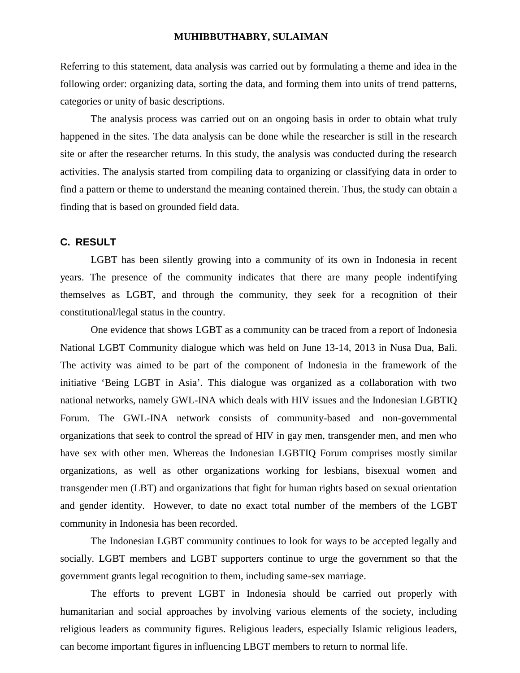Referring to this statement, data analysis was carried out by formulating a theme and idea in the following order: organizing data, sorting the data, and forming them into units of trend patterns, categories or unity of basic descriptions.

The analysis process was carried out on an ongoing basis in order to obtain what truly happened in the sites. The data analysis can be done while the researcher is still in the research site or after the researcher returns. In this study, the analysis was conducted during the research activities. The analysis started from compiling data to organizing or classifying data in order to find a pattern or theme to understand the meaning contained therein. Thus, the study can obtain a finding that is based on grounded field data.

## **C. RESULT**

LGBT has been silently growing into a community of its own in Indonesia in recent years. The presence of the community indicates that there are many people indentifying themselves as LGBT, and through the community, they seek for a recognition of their constitutional/legal status in the country.

One evidence that shows LGBT as a community can be traced from a report of Indonesia National LGBT Community dialogue which was held on June 13-14, 2013 in Nusa Dua, Bali. The activity was aimed to be part of the component of Indonesia in the framework of the initiative 'Being LGBT in Asia'. This dialogue was organized as a collaboration with two national networks, namely GWL-INA which deals with HIV issues and the Indonesian LGBTIQ Forum. The GWL-INA network consists of community-based and non-governmental organizations that seek to control the spread of HIV in gay men, transgender men, and men who have sex with other men. Whereas the Indonesian LGBTIQ Forum comprises mostly similar organizations, as well as other organizations working for lesbians, bisexual women and transgender men (LBT) and organizations that fight for human rights based on sexual orientation and gender identity. However, to date no exact total number of the members of the LGBT community in Indonesia has been recorded.

The Indonesian LGBT community continues to look for ways to be accepted legally and socially. LGBT members and LGBT supporters continue to urge the government so that the government grants legal recognition to them, including same-sex marriage.

The efforts to prevent LGBT in Indonesia should be carried out properly with humanitarian and social approaches by involving various elements of the society, including religious leaders as community figures. Religious leaders, especially Islamic religious leaders, can become important figures in influencing LBGT members to return to normal life.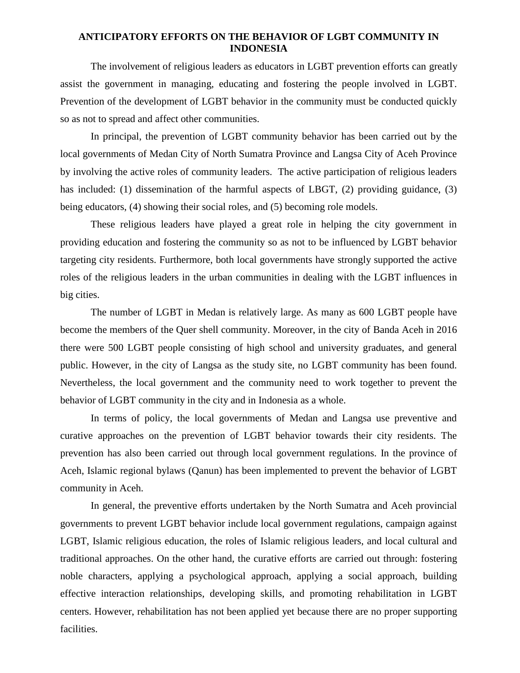The involvement of religious leaders as educators in LGBT prevention efforts can greatly assist the government in managing, educating and fostering the people involved in LGBT. Prevention of the development of LGBT behavior in the community must be conducted quickly so as not to spread and affect other communities.

In principal, the prevention of LGBT community behavior has been carried out by the local governments of Medan City of North Sumatra Province and Langsa City of Aceh Province by involving the active roles of community leaders. The active participation of religious leaders has included: (1) dissemination of the harmful aspects of LBGT, (2) providing guidance, (3) being educators, (4) showing their social roles, and (5) becoming role models.

These religious leaders have played a great role in helping the city government in providing education and fostering the community so as not to be influenced by LGBT behavior targeting city residents. Furthermore, both local governments have strongly supported the active roles of the religious leaders in the urban communities in dealing with the LGBT influences in big cities.

The number of LGBT in Medan is relatively large. As many as 600 LGBT people have become the members of the Quer shell community. Moreover, in the city of Banda Aceh in 2016 there were 500 LGBT people consisting of high school and university graduates, and general public. However, in the city of Langsa as the study site, no LGBT community has been found. Nevertheless, the local government and the community need to work together to prevent the behavior of LGBT community in the city and in Indonesia as a whole.

In terms of policy, the local governments of Medan and Langsa use preventive and curative approaches on the prevention of LGBT behavior towards their city residents. The prevention has also been carried out through local government regulations. In the province of Aceh, Islamic regional bylaws (Qanun) has been implemented to prevent the behavior of LGBT community in Aceh.

In general, the preventive efforts undertaken by the North Sumatra and Aceh provincial governments to prevent LGBT behavior include local government regulations, campaign against LGBT, Islamic religious education, the roles of Islamic religious leaders, and local cultural and traditional approaches. On the other hand, the curative efforts are carried out through: fostering noble characters, applying a psychological approach, applying a social approach, building effective interaction relationships, developing skills, and promoting rehabilitation in LGBT centers. However, rehabilitation has not been applied yet because there are no proper supporting facilities.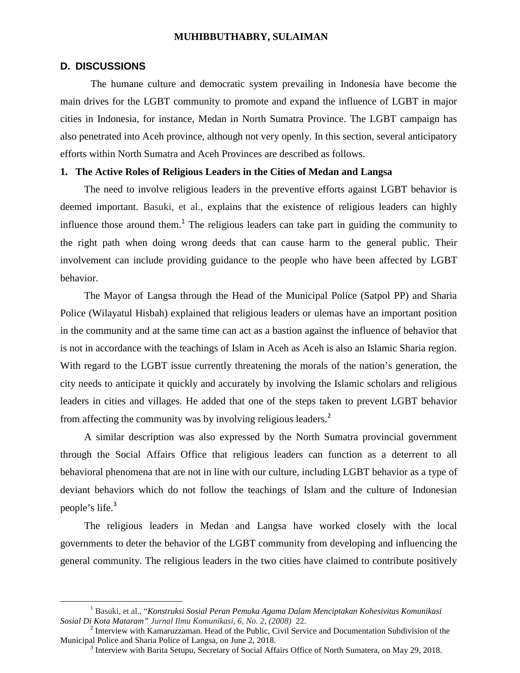#### **D. DISCUSSIONS**

The humane culture and democratic system prevailing in Indonesia have become the main drives for the LGBT community to promote and expand the influence of LGBT in major cities in Indonesia, for instance, Medan in North Sumatra Province. The LGBT campaign has also penetrated into Aceh province, although not very openly. In this section, several anticipatory efforts within North Sumatra and Aceh Provinces are described as follows.

## **1. The Active Roles of Religious Leaders in the Cities of Medan and Langsa**

The need to involve religious leaders in the preventive efforts against LGBT behavior is deemed important. Basuki, et al., explains that the existence of religious leaders can highly influence those around them.<sup>1</sup> The religious leaders can take part in guiding the community to the right path when doing wrong deeds that can cause harm to the general public. Their involvement can include providing guidance to the people who have been affected by LGBT behavior.

The Mayor of Langsa through the Head of the Municipal Police (Satpol PP) and Sharia Police (Wilayatul Hisbah) explained that religious leaders or ulemas have an important position in the community and at the same time can act as a bastion against the influence of behavior that is not in accordance with the teachings of Islam in Aceh as Aceh is also an Islamic Sharia region. With regard to the LGBT issue currently threatening the morals of the nation's generation, the city needs to anticipate it quickly and accurately by involving the Islamic scholars and religious leaders in cities and villages. He added that one of the steps taken to prevent LGBT behavior from affecting the community was by involving religious leaders.<sup>2</sup>

A similar description was also expressed by the North Sumatra provincial government through the Social Affairs Office that religious leaders can function as a deterrent to all behavioral phenomena that are not in line with our culture, including LGBT behavior as a type of deviant behaviors which do not follow the teachings of Islam and the culture of Indonesian people's life.<sup>3</sup>

The religious leaders in Medan and Langsa have worked closely with the local governments to deter the behavior of the LGBT community from developing and influencing the general community. The religious leaders in the two cities have claimed to contribute positively

<sup>1</sup> Basuki, et al., "*Konstruksi Sosial Peran Pemuka Agama Dalam Menciptakan Kohesivitas Komunikasi*

<sup>&</sup>lt;sup>2</sup> Interview with Kamaruzzaman. Head of the Public, Civil Service and Documentation Subdivision of the Municipal Police and Sharia Police of Langsa, on June 2, 2018.

 $3$  Interview with Barita Setupu, Secretary of Social Affairs Office of North Sumatera, on May 29, 2018.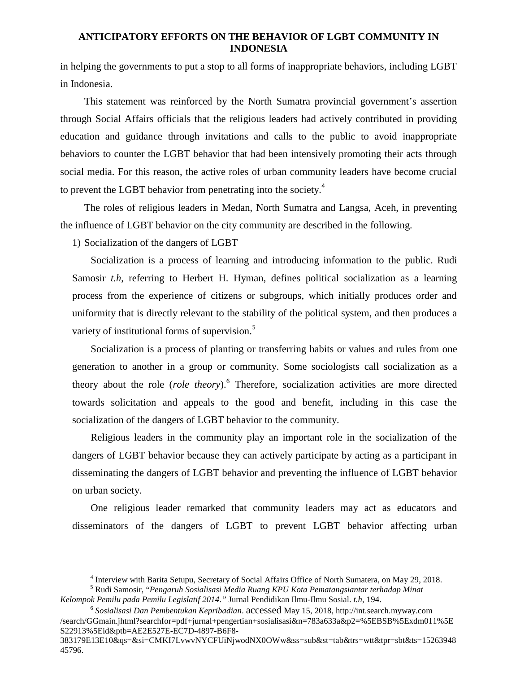in helping the governments to put a stop to all forms of inappropriate behaviors, including LGBT in Indonesia.

This statement was reinforced by the North Sumatra provincial government's assertion through Social Affairs officials that the religious leaders had actively contributed in providing education and guidance through invitations and calls to the public to avoid inappropriate behaviors to counter the LGBT behavior that had been intensively promoting their acts through social media. For this reason, the active roles of urban community leaders have become crucial to prevent the LGBT behavior from penetrating into the society.<sup>4</sup>

The roles of religious leaders in Medan, North Sumatra and Langsa, Aceh, in preventing the influence of LGBT behavior on the city community are described in the following.

1) Socialization of the dangers of LGBT

Socialization is a process of learning and introducing information to the public. Rudi Samosir *t.h*, referring to Herbert H. Hyman, defines political socialization as a learning process from the experience of citizens or subgroups, which initially produces order and uniformity that is directly relevant to the stability of the political system, and then produces a variety of institutional forms of supervision.<sup>5</sup>

Socialization is a process of planting or transferring habits or values and rules from one generation to another in a group or community. Some sociologists call socialization as a theory about the role (*role theory*).<sup>6</sup> Therefore, socialization activities are more directed towards solicitation and appeals to the good and benefit, including in this case the socialization of the dangers of LGBT behavior to the community.

Religious leaders in the community play an important role in the socialization of the dangers of LGBT behavior because they can actively participate by acting as a participant in disseminating the dangers of LGBT behavior and preventing the influence of LGBT behavior on urban society.

One religious leader remarked that community leaders may act as educators and disseminators of the dangers of LGBT to prevent LGBT behavior affecting urban

<sup>&</sup>lt;sup>4</sup> Interview with Barita Setupu, Secretary of Social Affairs Office of North Sumatera, on May 29, 2018.<br><sup>5</sup> Rudi Samosir, "*Pengaruh Sosialisasi Media Ruang KPU Kota Pematangsiantar terhadap Minat* 

*Kelompok Pemilu pada Pemilu Legislatif 2014."* Jurnal Pendidikan Ilmu-Ilmu Sosial. *t.h*, 194.

<sup>6</sup> *Sosialisasi Dan Pembentukan Kepribadian*. accessed May 15, 2018, http://int.search.myway.com /search/GGmain.jhtml?searchfor=pdf+jurnal+pengertian+sosialisasi&n=783a633a&p2=%5EBSB%5Exdm011%5E S22913%5Eid&ptb=AE2E527E-EC7D-4897-B6F8-

<sup>383179</sup>E13E10&qs=&si=CMKI7LvwvNYCFUiNjwodNX0OWw&ss=sub&st=tab&trs=wtt&tpr=sbt&ts=15263948 45796.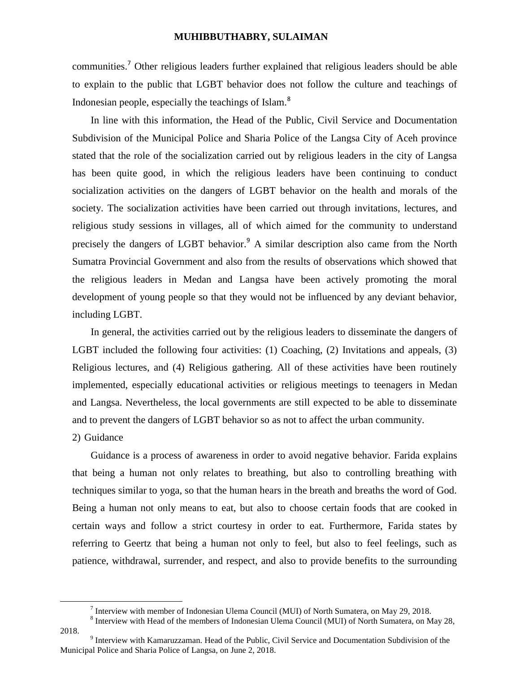communities.<sup>7</sup> Other religious leaders further explained that religious leaders should be able to explain to the public that LGBT behavior does not follow the culture and teachings of Indonesian people, especially the teachings of Islam.<sup>8</sup>

In line with this information, the Head of the Public, Civil Service and Documentation Subdivision of the Municipal Police and Sharia Police of the Langsa City of Aceh province stated that the role of the socialization carried out by religious leaders in the city of Langsa has been quite good, in which the religious leaders have been continuing to conduct socialization activities on the dangers of LGBT behavior on the health and morals of the society. The socialization activities have been carried out through invitations, lectures, and religious study sessions in villages, all of which aimed for the community to understand precisely the dangers of LGBT behavior.<sup>9</sup> A similar description also came from the North Sumatra Provincial Government and also from the results of observations which showed that the religious leaders in Medan and Langsa have been actively promoting the moral development of young people so that they would not be influenced by any deviant behavior, including LGBT.

In general, the activities carried out by the religious leaders to disseminate the dangers of LGBT included the following four activities: (1) Coaching, (2) Invitations and appeals, (3) Religious lectures, and (4) Religious gathering. All of these activities have been routinely implemented, especially educational activities or religious meetings to teenagers in Medan and Langsa. Nevertheless, the local governments are still expected to be able to disseminate and to prevent the dangers of LGBT behavior so as not to affect the urban community.

## 2) Guidance

Guidance is a process of awareness in order to avoid negative behavior. Farida explains that being a human not only relates to breathing, but also to controlling breathing with techniques similar to yoga, so that the human hears in the breath and breaths the word of God. Being a human not only means to eat, but also to choose certain foods that are cooked in certain ways and follow a strict courtesy in order to eat. Furthermore, Farida states by referring to Geertz that being a human not only to feel, but also to feel feelings, such as patience, withdrawal, surrender, and respect, and also to provide benefits to the surrounding

2018.<br><sup>9</sup> Interview with Kamaruzzaman. Head of the Public, Civil Service and Documentation Subdivision of the Municipal Police and Sharia Police of Langsa, on June 2, 2018.

<sup>&</sup>lt;sup>7</sup> Interview with member of Indonesian Ulema Council (MUI) of North Sumatera, on May 29, 2018.<br><sup>8</sup> Interview with Head of the members of Indonesian Ulema Council (MUI) of North Sumatera, on May 28,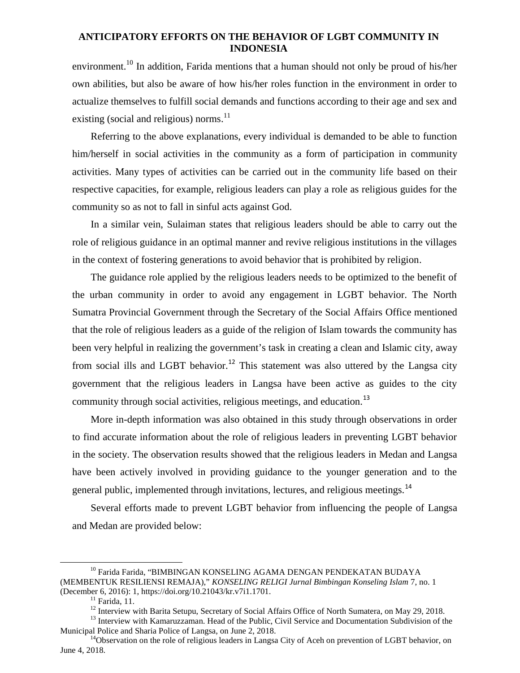environment.<sup>10</sup> In addition, Farida mentions that a human should not only be proud of his/her own abilities, but also be aware of how his/her roles function in the environment in order to actualize themselves to fulfill social demands and functions according to their age and sex and existing (social and religious) norms. $^{11}$ 

Referring to the above explanations, every individual is demanded to be able to function him/herself in social activities in the community as a form of participation in community activities. Many types of activities can be carried out in the community life based on their respective capacities, for example, religious leaders can play a role as religious guides for the community so as not to fall in sinful acts against God.

In a similar vein, Sulaiman states that religious leaders should be able to carry out the role of religious guidance in an optimal manner and revive religious institutions in the villages in the context of fostering generations to avoid behavior that is prohibited by religion.

The guidance role applied by the religious leaders needs to be optimized to the benefit of the urban community in order to avoid any engagement in LGBT behavior. The North Sumatra Provincial Government through the Secretary of the Social Affairs Office mentioned that the role of religious leaders as a guide of the religion of Islam towards the community has been very helpful in realizing the government's task in creating a clean and Islamic city, away from social ills and LGBT behavior.<sup>12</sup> This statement was also uttered by the Langsa city government that the religious leaders in Langsa have been active as guides to the city community through social activities, religious meetings, and education.<sup>13</sup>

More in-depth information was also obtained in this study through observations in order to find accurate information about the role of religious leaders in preventing LGBT behavior in the society. The observation results showed that the religious leaders in Medan and Langsa have been actively involved in providing guidance to the younger generation and to the general public, implemented through invitations, lectures, and religious meetings.<sup>14</sup>

Several efforts made to prevent LGBT behavior from influencing the people of Langsa and Medan are provided below:

<sup>&</sup>lt;sup>10</sup> Farida Farida, "BIMBINGAN KONSELING AGAMA DENGAN PENDEKATAN BUDAYA (MEMBENTUK RESILIENSI REMAJA)," *KONSELING RELIGI Jurnal Bimbingan Konseling Islam* 7, no. 1

<sup>&</sup>lt;sup>11</sup> Farida, 11.<br><sup>12</sup> Interview with Barita Setupu, Secretary of Social Affairs Office of North Sumatera, on May 29, 2018.<br><sup>13</sup> Interview with Kamaruzzaman. Head of the Public, Civil Service and Documentation Subdivision o

 $14$ Observation on the role of religious leaders in Langsa City of Aceh on prevention of LGBT behavior, on June 4, 2018.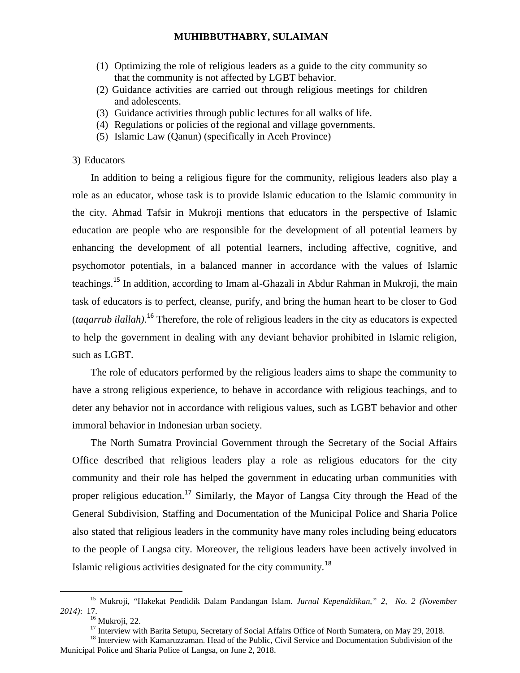- (1) Optimizing the role of religious leaders as a guide to the city community so that the community is not affected by LGBT behavior.
- (2) Guidance activities are carried out through religious meetings for children and adolescents.
- (3) Guidance activities through public lectures for all walks of life.
- (4) Regulations or policies of the regional and village governments.
- (5) Islamic Law (Qanun) (specifically in Aceh Province)

## 3) Educators

In addition to being a religious figure for the community, religious leaders also play a role as an educator, whose task is to provide Islamic education to the Islamic community in the city. Ahmad Tafsir in Mukroji mentions that educators in the perspective of Islamic education are people who are responsible for the development of all potential learners by enhancing the development of all potential learners, including affective, cognitive, and psychomotor potentials, in a balanced manner in accordance with the values of Islamic teachings.<sup>15</sup> In addition, according to Imam al-Ghazali in Abdur Rahman in Mukroji, the main task of educators is to perfect, cleanse, purify, and bring the human heart to be closer to God (*taqarrub ilallah)*.<sup>16</sup> Therefore, the role of religious leaders in the city as educators is expected to help the government in dealing with any deviant behavior prohibited in Islamic religion, such as LGBT.

The role of educators performed by the religious leaders aims to shape the community to have a strong religious experience, to behave in accordance with religious teachings, and to deter any behavior not in accordance with religious values, such as LGBT behavior and other immoral behavior in Indonesian urban society.

The North Sumatra Provincial Government through the Secretary of the Social Affairs Office described that religious leaders play a role as religious educators for the city community and their role has helped the government in educating urban communities with proper religious education.<sup>17</sup> Similarly, the Mayor of Langsa City through the Head of the General Subdivision, Staffing and Documentation of the Municipal Police and Sharia Police also stated that religious leaders in the community have many roles including being educators to the people of Langsa city. Moreover, the religious leaders have been actively involved in Islamic religious activities designated for the city community.<sup>18</sup>

<sup>15</sup> Mukroji, "Hakekat Pendidik Dalam Pandangan Islam. *Jurnal Kependidikan," 2, No. 2 (November*

<sup>&</sup>lt;sup>16</sup> Mukroji, 22.<br><sup>17</sup> Interview with Barita Setupu, Secretary of Social Affairs Office of North Sumatera, on May 29, 2018.<br><sup>18</sup> Interview with Kamaruzzaman. Head of the Public, Civil Service and Documentation Subdivision

Municipal Police and Sharia Police of Langsa, on June 2, 2018.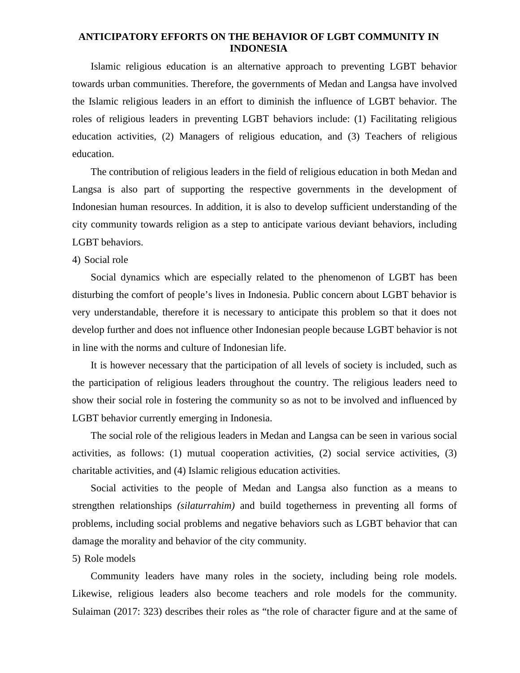Islamic religious education is an alternative approach to preventing LGBT behavior towards urban communities. Therefore, the governments of Medan and Langsa have involved the Islamic religious leaders in an effort to diminish the influence of LGBT behavior. The roles of religious leaders in preventing LGBT behaviors include: (1) Facilitating religious education activities, (2) Managers of religious education, and (3) Teachers of religious education.

The contribution of religious leaders in the field of religious education in both Medan and Langsa is also part of supporting the respective governments in the development of Indonesian human resources. In addition, it is also to develop sufficient understanding of the city community towards religion as a step to anticipate various deviant behaviors, including LGBT behaviors.

#### 4) Social role

Social dynamics which are especially related to the phenomenon of LGBT has been disturbing the comfort of people's lives in Indonesia. Public concern about LGBT behavior is very understandable, therefore it is necessary to anticipate this problem so that it does not develop further and does not influence other Indonesian people because LGBT behavior is not in line with the norms and culture of Indonesian life.

It is however necessary that the participation of all levels of society is included, such as the participation of religious leaders throughout the country. The religious leaders need to show their social role in fostering the community so as not to be involved and influenced by LGBT behavior currently emerging in Indonesia.

The social role of the religious leaders in Medan and Langsa can be seen in various social activities, as follows: (1) mutual cooperation activities, (2) social service activities, (3) charitable activities, and (4) Islamic religious education activities.

Social activities to the people of Medan and Langsa also function as a means to strengthen relationships *(silaturrahim)* and build togetherness in preventing all forms of problems, including social problems and negative behaviors such as LGBT behavior that can damage the morality and behavior of the city community.

#### 5) Role models

Community leaders have many roles in the society, including being role models. Likewise, religious leaders also become teachers and role models for the community. Sulaiman (2017: 323) describes their roles as "the role of character figure and at the same of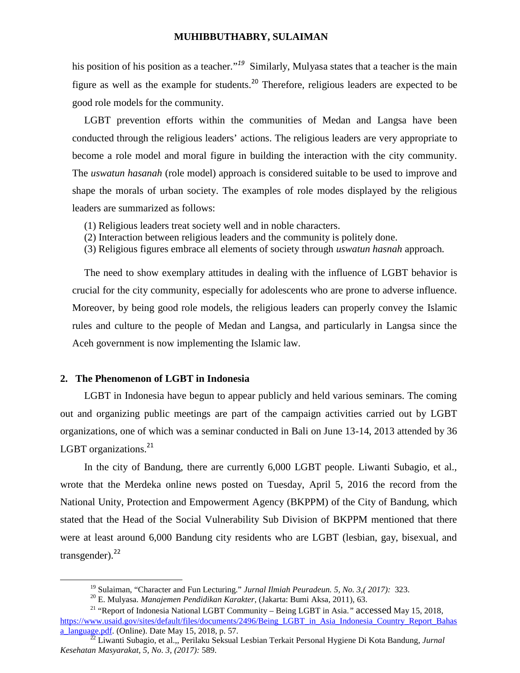his position of his position as a teacher*.*" *<sup>19</sup>* Similarly, Mulyasa states that a teacher is the main figure as well as the example for students.<sup>20</sup> Therefore, religious leaders are expected to be good role models for the community.

LGBT prevention efforts within the communities of Medan and Langsa have been conducted through the religious leaders' actions. The religious leaders are very appropriate to become a role model and moral figure in building the interaction with the city community. The *uswatun hasanah* (role model) approach is considered suitable to be used to improve and shape the morals of urban society. The examples of role modes displayed by the religious leaders are summarized as follows:

- (1) Religious leaders treat society well and in noble characters.
- (2) Interaction between religious leaders and the community is politely done.
- (3) Religious figures embrace all elements of society through *uswatun hasnah* approach*.*

The need to show exemplary attitudes in dealing with the influence of LGBT behavior is crucial for the city community, especially for adolescents who are prone to adverse influence. Moreover, by being good role models, the religious leaders can properly convey the Islamic rules and culture to the people of Medan and Langsa, and particularly in Langsa since the Aceh government is now implementing the Islamic law.

### **2. The Phenomenon of LGBT in Indonesia**

LGBT in Indonesia have begun to appear publicly and held various seminars. The coming out and organizing public meetings are part of the campaign activities carried out by LGBT organizations, one of which was a seminar conducted in Bali on June 13-14, 2013 attended by 36 LGBT organizations.<sup>21</sup>

In the city of Bandung, there are currently 6,000 LGBT people. Liwanti Subagio, et al., wrote that the Merdeka online news posted on Tuesday, April 5, 2016 the record from the National Unity, Protection and Empowerment Agency (BKPPM) of the City of Bandung, which stated that the Head of the Social Vulnerability Sub Division of BKPPM mentioned that there were at least around 6,000 Bandung city residents who are LGBT (lesbian, gay, bisexual, and transgender). $^{22}$ 

<sup>&</sup>lt;sup>19</sup> Sulaiman, "Character and Fun Lecturing." *Jurnal Ilmiah Peuradeun. 5, No. 3,( 2017):* 323.<br><sup>20</sup> E. Mulyasa. *Manajemen Pendidikan Karakter*, (Jakarta: Bumi Aksa, 2011), 63.

<sup>21</sup> "Report of Indonesia National LGBT Community – Being LGBT in Asia.*"* accessed May 15, 2018, https://www.usaid.gov/sites/default/files/documents/2496/Being\_LGBT\_in\_Asia\_Indonesia\_Country\_Report\_Bahas a language.pdf. (Online). Date May 15, 2018, p. 57.

<sup>&</sup>lt;sup>22</sup> Liwanti Subagio, et al.,, Perilaku Seksual Lesbian Terkait Personal Hygiene Di Kota Bandung, *Jurnal Kesehatan Masyarakat, 5, No. 3, (2017):* 589.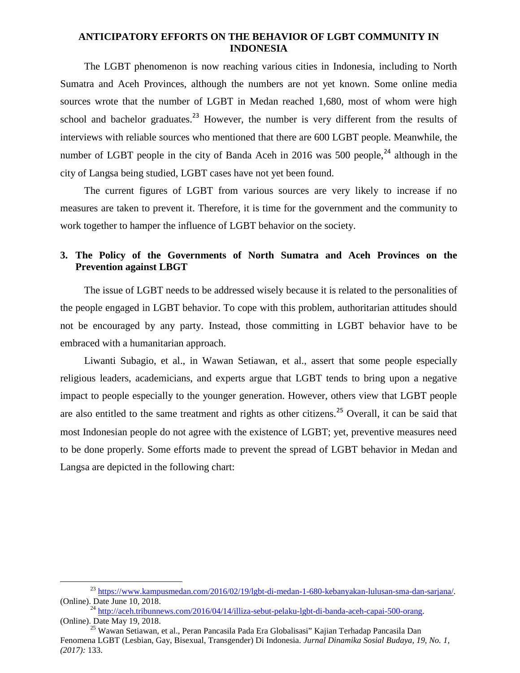The LGBT phenomenon is now reaching various cities in Indonesia, including to North Sumatra and Aceh Provinces, although the numbers are not yet known. Some online media sources wrote that the number of LGBT in Medan reached 1,680, most of whom were high school and bachelor graduates.<sup>23</sup> However, the number is very different from the results of interviews with reliable sources who mentioned that there are 600 LGBT people. Meanwhile, the number of LGBT people in the city of Banda Aceh in 2016 was 500 people, $^{24}$  although in the city of Langsa being studied, LGBT cases have not yet been found.

The current figures of LGBT from various sources are very likely to increase if no measures are taken to prevent it. Therefore, it is time for the government and the community to work together to hamper the influence of LGBT behavior on the society.

# **3. The Policy of the Governments of North Sumatra and Aceh Provinces on the Prevention against LBGT**

The issue of LGBT needs to be addressed wisely because it is related to the personalities of the people engaged in LGBT behavior. To cope with this problem, authoritarian attitudes should not be encouraged by any party. Instead, those committing in LGBT behavior have to be embraced with a humanitarian approach.

Liwanti Subagio, et al., in Wawan Setiawan, et al., assert that some people especially religious leaders, academicians, and experts argue that LGBT tends to bring upon a negative impact to people especially to the younger generation. However, others view that LGBT people are also entitled to the same treatment and rights as other citizens.<sup>25</sup> Overall, it can be said that most Indonesian people do not agree with the existence of LGBT; yet, preventive measures need to be done properly. Some efforts made to prevent the spread of LGBT behavior in Medan and Langsa are depicted in the following chart:

<sup>23</sup> https://www.kampusmedan.com/2016/02/19/lgbt-di-medan-1-680-kebanyakan-lulusan-sma-dan-sarjana/.

<sup>(</sup>Online). Date June 10, 2018.<br><sup>24</sup> http://aceh.tribunnews.com/2016/04/14/illiza-sebut-pelaku-lgbt-di-banda-aceh-capai-500-orang.<br>(Online). Date May 19, 2018.

<sup>&</sup>lt;sup>25</sup> Wawan Setiawan, et al., Peran Pancasila Pada Era Globalisasi" Kajian Terhadap Pancasila Dan Fenomena LGBT (Lesbian, Gay, Bisexual, Transgender) Di Indonesia. *Jurnal Dinamika Sosial Budaya, 19, No. 1, (2017):* 133.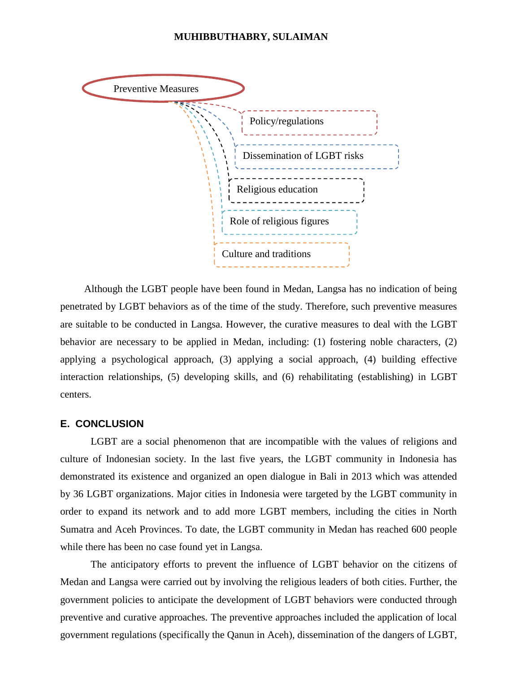

Although the LGBT people have been found in Medan, Langsa has no indication of being penetrated by LGBT behaviors as of the time of the study. Therefore, such preventive measures are suitable to be conducted in Langsa. However, the curative measures to deal with the LGBT behavior are necessary to be applied in Medan, including: (1) fostering noble characters, (2) applying a psychological approach, (3) applying a social approach, (4) building effective interaction relationships, (5) developing skills, and (6) rehabilitating (establishing) in LGBT centers.

## **E. CONCLUSION**

LGBT are a social phenomenon that are incompatible with the values of religions and culture of Indonesian society. In the last five years, the LGBT community in Indonesia has demonstrated its existence and organized an open dialogue in Bali in 2013 which was attended by 36 LGBT organizations. Major cities in Indonesia were targeted by the LGBT community in order to expand its network and to add more LGBT members, including the cities in North Sumatra and Aceh Provinces. To date, the LGBT community in Medan has reached 600 people while there has been no case found yet in Langsa.

The anticipatory efforts to prevent the influence of LGBT behavior on the citizens of Medan and Langsa were carried out by involving the religious leaders of both cities. Further, the government policies to anticipate the development of LGBT behaviors were conducted through preventive and curative approaches. The preventive approaches included the application of local government regulations (specifically the Qanun in Aceh), dissemination of the dangers of LGBT,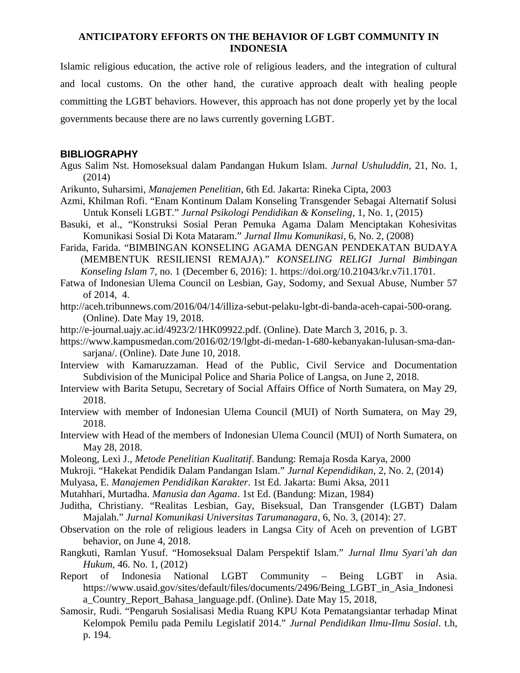Islamic religious education, the active role of religious leaders, and the integration of cultural and local customs. On the other hand, the curative approach dealt with healing people committing the LGBT behaviors. However, this approach has not done properly yet by the local governments because there are no laws currently governing LGBT.

## **BIBLIOGRAPHY**

- Agus Salim Nst. Homoseksual dalam Pandangan Hukum Islam. *Jurnal Ushuluddin,* 21, No. 1, (2014)
- Arikunto, Suharsimi, *Manajemen Penelitian*, 6th Ed. Jakarta: Rineka Cipta, 2003
- Azmi, Khilman Rofi. "Enam Kontinum Dalam Konseling Transgender Sebagai Alternatif Solusi Untuk Konseli LGBT." *Jurnal Psikologi Pendidikan & Konseling*, 1, No. 1, (2015)
- Basuki, et al., "Konstruksi Sosial Peran Pemuka Agama Dalam Menciptakan Kohesivitas Komunikasi Sosial Di Kota Mataram." *Jurnal Ilmu Komunikasi*, 6, No. 2, (2008)
- Farida, Farida. "BIMBINGAN KONSELING AGAMA DENGAN PENDEKATAN BUDAYA (MEMBENTUK RESILIENSI REMAJA)." *KONSELING RELIGI Jurnal Bimbingan Konseling Islam* 7, no. 1 (December 6, 2016): 1. https://doi.org/10.21043/kr.v7i1.1701.
- Fatwa of Indonesian Ulema Council on Lesbian, Gay, Sodomy, and Sexual Abuse, Number 57 of 2014, 4.
- http://aceh.tribunnews.com/2016/04/14/illiza-sebut-pelaku-lgbt-di-banda-aceh-capai-500-orang. (Online). Date May 19, 2018.
- http://e-journal.uajy.ac.id/4923/2/1HK09922.pdf. (Online). Date March 3, 2016, p. 3.
- https://www.kampusmedan.com/2016/02/19/lgbt-di-medan-1-680-kebanyakan-lulusan-sma-dan sarjana/. (Online). Date June 10, 2018.
- Interview with Kamaruzzaman. Head of the Public, Civil Service and Documentation Subdivision of the Municipal Police and Sharia Police of Langsa, on June 2, 2018.
- Interview with Barita Setupu, Secretary of Social Affairs Office of North Sumatera, on May 29, 2018.
- Interview with member of Indonesian Ulema Council (MUI) of North Sumatera, on May 29, 2018.
- Interview with Head of the members of Indonesian Ulema Council (MUI) of North Sumatera, on May 28, 2018.
- Moleong, Lexi J., *Metode Penelitian Kualitatif*. Bandung: Remaja Rosda Karya, 2000
- Mukroji. "Hakekat Pendidik Dalam Pandangan Islam." *Jurnal Kependidikan*, 2, No. 2, (2014)
- Mulyasa, E. *Manajemen Pendidikan Karakter*. 1st Ed. Jakarta: Bumi Aksa, 2011
- Mutahhari, Murtadha. *Manusia dan Agama*. 1st Ed. (Bandung: Mizan, 1984)
- Juditha, Christiany. "Realitas Lesbian, Gay, Biseksual, Dan Transgender (LGBT) Dalam Majalah." *Jurnal Komunikasi Universitas Tarumanagara*, 6, No. 3, (2014): 27.
- Observation on the role of religious leaders in Langsa City of Aceh on prevention of LGBT behavior, on June 4, 2018.
- Rangkuti, Ramlan Yusuf. "Homoseksual Dalam Perspektif Islam." *Jurnal Ilmu Syari'ah dan Hukum*, 46. No. 1, (2012)
- Report of Indonesia National LGBT Community Being LGBT in Asia. https://www.usaid.gov/sites/default/files/documents/2496/Being\_LGBT\_in\_Asia\_Indonesi a\_Country\_Report\_Bahasa\_language.pdf. (Online). Date May 15, 2018,
- Samosir, Rudi. "Pengaruh Sosialisasi Media Ruang KPU Kota Pematangsiantar terhadap Minat Kelompok Pemilu pada Pemilu Legislatif 2014." *Jurnal Pendidikan Ilmu-Ilmu Sosial*. t.h, p. 194.